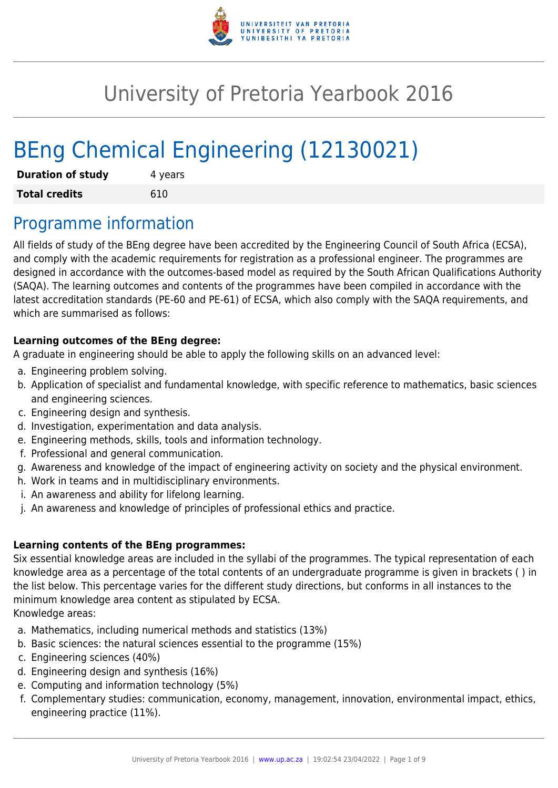

# University of Pretoria Yearbook 2016

# BEng Chemical Engineering (12130021)

| <b>Duration of study</b> | 4 years |  |  |  |
|--------------------------|---------|--|--|--|
| <b>Total credits</b>     | 610     |  |  |  |

# Programme information

All fields of study of the BEng degree have been accredited by the Engineering Council of South Africa (ECSA), and comply with the academic requirements for registration as a professional engineer. The programmes are designed in accordance with the outcomes-based model as required by the South African Qualifications Authority (SAQA). The learning outcomes and contents of the programmes have been compiled in accordance with the latest accreditation standards (PE-60 and PE-61) of ECSA, which also comply with the SAQA requirements, and which are summarised as follows:

### **Learning outcomes of the BEng degree:**

A graduate in engineering should be able to apply the following skills on an advanced level:

- a. Engineering problem solving.
- b. Application of specialist and fundamental knowledge, with specific reference to mathematics, basic sciences and engineering sciences.
- c. Engineering design and synthesis.
- d. Investigation, experimentation and data analysis.
- e. Engineering methods, skills, tools and information technology.
- f. Professional and general communication.
- g. Awareness and knowledge of the impact of engineering activity on society and the physical environment.
- h. Work in teams and in multidisciplinary environments.
- i. An awareness and ability for lifelong learning.
- j. An awareness and knowledge of principles of professional ethics and practice.

### **Learning contents of the BEng programmes:**

Six essential knowledge areas are included in the syllabi of the programmes. The typical representation of each knowledge area as a percentage of the total contents of an undergraduate programme is given in brackets ( ) in the list below. This percentage varies for the different study directions, but conforms in all instances to the minimum knowledge area content as stipulated by ECSA.

Knowledge areas:

- a. Mathematics, including numerical methods and statistics (13%)
- b. Basic sciences: the natural sciences essential to the programme (15%)
- c. Engineering sciences (40%)
- d. Engineering design and synthesis (16%)
- e. Computing and information technology (5%)
- f. Complementary studies: communication, economy, management, innovation, environmental impact, ethics, engineering practice (11%).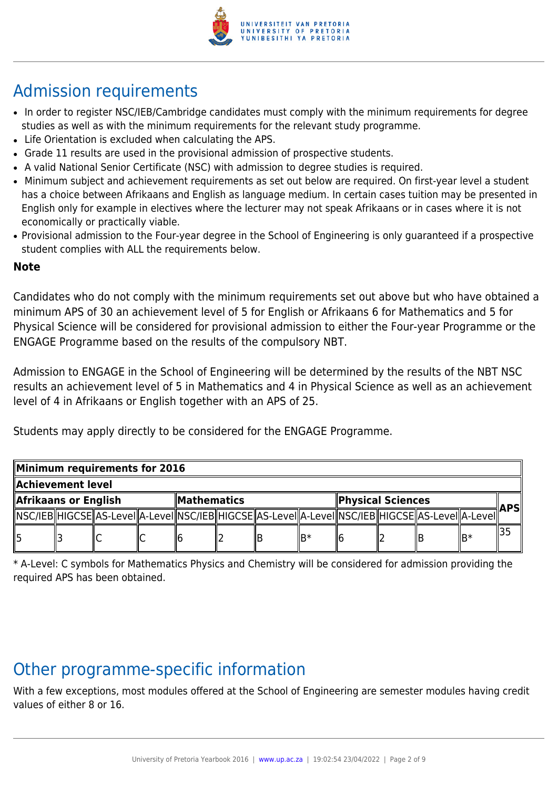

# Admission requirements

- In order to register NSC/IEB/Cambridge candidates must comply with the minimum requirements for degree studies as well as with the minimum requirements for the relevant study programme.
- Life Orientation is excluded when calculating the APS.
- Grade 11 results are used in the provisional admission of prospective students.
- A valid National Senior Certificate (NSC) with admission to degree studies is required.
- Minimum subject and achievement requirements as set out below are required. On first-year level a student has a choice between Afrikaans and English as language medium. In certain cases tuition may be presented in English only for example in electives where the lecturer may not speak Afrikaans or in cases where it is not economically or practically viable.
- Provisional admission to the Four-year degree in the School of Engineering is only guaranteed if a prospective student complies with ALL the requirements below.

### **Note**

Candidates who do not comply with the minimum requirements set out above but who have obtained a minimum APS of 30 an achievement level of 5 for English or Afrikaans 6 for Mathematics and 5 for Physical Science will be considered for provisional admission to either the Four-year Programme or the ENGAGE Programme based on the results of the compulsory NBT.

Admission to ENGAGE in the School of Engineering will be determined by the results of the NBT NSC results an achievement level of 5 in Mathematics and 4 in Physical Science as well as an achievement level of 4 in Afrikaans or English together with an APS of 25.

Students may apply directly to be considered for the ENGAGE Programme.

| Minimum requirements for 2016 |  |  |  |                    |  |  |                   |  |  |                                                                                                              |      |  |
|-------------------------------|--|--|--|--------------------|--|--|-------------------|--|--|--------------------------------------------------------------------------------------------------------------|------|--|
| Achievement level             |  |  |  |                    |  |  |                   |  |  |                                                                                                              |      |  |
| Afrikaans or English          |  |  |  | <b>Mathematics</b> |  |  | Physical Sciences |  |  |                                                                                                              | APSI |  |
|                               |  |  |  |                    |  |  |                   |  |  | [ NSC/IEB  HIGCSE  AS-Level  A-Level  NSC/IEB  HIGCSE  AS-Level  A-Level  NSC/IEB  HIGCSE  AS-Level  A-Level |      |  |
| 15                            |  |  |  |                    |  |  | lR*               |  |  |                                                                                                              | ∥B*  |  |

\* A-Level: C symbols for Mathematics Physics and Chemistry will be considered for admission providing the required APS has been obtained.

# Other programme-specific information

With a few exceptions, most modules offered at the School of Engineering are semester modules having credit values of either 8 or 16.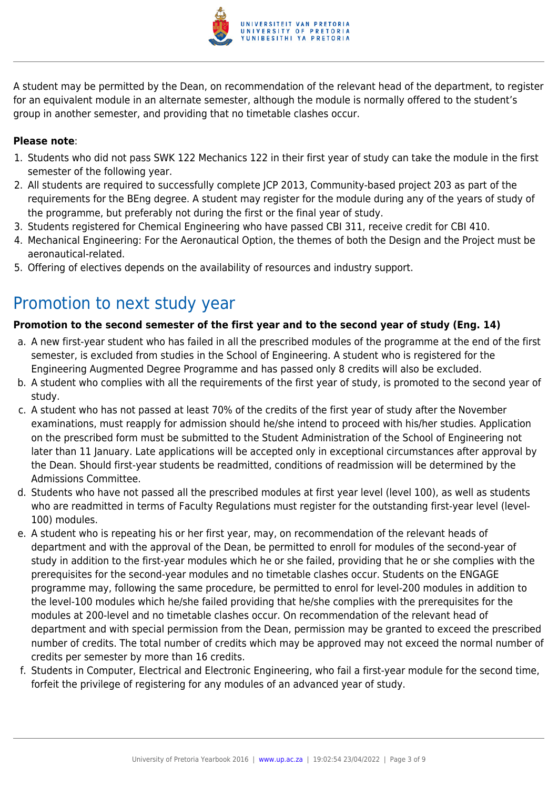

A student may be permitted by the Dean, on recommendation of the relevant head of the department, to register for an equivalent module in an alternate semester, although the module is normally offered to the student's group in another semester, and providing that no timetable clashes occur.

#### **Please note**:

- 1. Students who did not pass SWK 122 Mechanics 122 in their first year of study can take the module in the first semester of the following year.
- 2. All students are required to successfully complete JCP 2013, Community-based project 203 as part of the requirements for the BEng degree. A student may register for the module during any of the years of study of the programme, but preferably not during the first or the final year of study.
- 3. Students registered for Chemical Engineering who have passed CBI 311, receive credit for CBI 410.
- 4. Mechanical Engineering: For the Aeronautical Option, the themes of both the Design and the Project must be aeronautical-related.
- 5. Offering of electives depends on the availability of resources and industry support.

## Promotion to next study year

### **Promotion to the second semester of the first year and to the second year of study (Eng. 14)**

- a. A new first-year student who has failed in all the prescribed modules of the programme at the end of the first semester, is excluded from studies in the School of Engineering. A student who is registered for the Engineering Augmented Degree Programme and has passed only 8 credits will also be excluded.
- b. A student who complies with all the requirements of the first year of study, is promoted to the second year of study.
- c. A student who has not passed at least 70% of the credits of the first year of study after the November examinations, must reapply for admission should he/she intend to proceed with his/her studies. Application on the prescribed form must be submitted to the Student Administration of the School of Engineering not later than 11 January. Late applications will be accepted only in exceptional circumstances after approval by the Dean. Should first-year students be readmitted, conditions of readmission will be determined by the Admissions Committee.
- d. Students who have not passed all the prescribed modules at first year level (level 100), as well as students who are readmitted in terms of Faculty Regulations must register for the outstanding first-year level (level-100) modules.
- e. A student who is repeating his or her first year, may, on recommendation of the relevant heads of department and with the approval of the Dean, be permitted to enroll for modules of the second-year of study in addition to the first-year modules which he or she failed, providing that he or she complies with the prerequisites for the second-year modules and no timetable clashes occur. Students on the ENGAGE programme may, following the same procedure, be permitted to enrol for level-200 modules in addition to the level-100 modules which he/she failed providing that he/she complies with the prerequisites for the modules at 200-level and no timetable clashes occur. On recommendation of the relevant head of department and with special permission from the Dean, permission may be granted to exceed the prescribed number of credits. The total number of credits which may be approved may not exceed the normal number of credits per semester by more than 16 credits.
- f. Students in Computer, Electrical and Electronic Engineering, who fail a first-year module for the second time, forfeit the privilege of registering for any modules of an advanced year of study.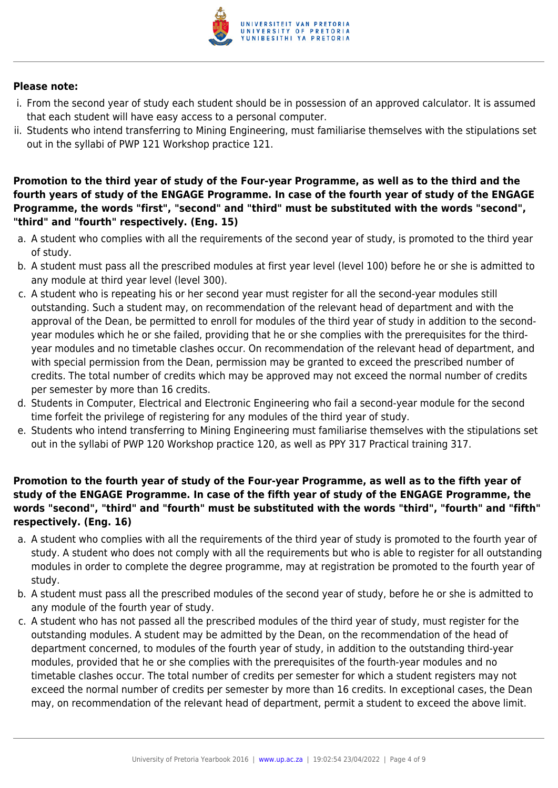

#### **Please note:**

- i. From the second year of study each student should be in possession of an approved calculator. It is assumed that each student will have easy access to a personal computer.
- ii. Students who intend transferring to Mining Engineering, must familiarise themselves with the stipulations set out in the syllabi of PWP 121 Workshop practice 121.

#### **Promotion to the third year of study of the Four-year Programme, as well as to the third and the fourth years of study of the ENGAGE Programme. In case of the fourth year of study of the ENGAGE Programme, the words "first", "second" and "third" must be substituted with the words "second", "third" and "fourth" respectively. (Eng. 15)**

- a. A student who complies with all the requirements of the second year of study, is promoted to the third year of study.
- b. A student must pass all the prescribed modules at first year level (level 100) before he or she is admitted to any module at third year level (level 300).
- c. A student who is repeating his or her second year must register for all the second-year modules still outstanding. Such a student may, on recommendation of the relevant head of department and with the approval of the Dean, be permitted to enroll for modules of the third year of study in addition to the secondyear modules which he or she failed, providing that he or she complies with the prerequisites for the thirdyear modules and no timetable clashes occur. On recommendation of the relevant head of department, and with special permission from the Dean, permission may be granted to exceed the prescribed number of credits. The total number of credits which may be approved may not exceed the normal number of credits per semester by more than 16 credits.
- d. Students in Computer, Electrical and Electronic Engineering who fail a second-year module for the second time forfeit the privilege of registering for any modules of the third year of study.
- e. Students who intend transferring to Mining Engineering must familiarise themselves with the stipulations set out in the syllabi of PWP 120 Workshop practice 120, as well as PPY 317 Practical training 317.

#### **Promotion to the fourth year of study of the Four-year Programme, as well as to the fifth year of study of the ENGAGE Programme. In case of the fifth year of study of the ENGAGE Programme, the words "second", "third" and "fourth" must be substituted with the words "third", "fourth" and "fifth" respectively. (Eng. 16)**

- a. A student who complies with all the requirements of the third year of study is promoted to the fourth year of study. A student who does not comply with all the requirements but who is able to register for all outstanding modules in order to complete the degree programme, may at registration be promoted to the fourth year of study.
- b. A student must pass all the prescribed modules of the second year of study, before he or she is admitted to any module of the fourth year of study.
- c. A student who has not passed all the prescribed modules of the third year of study, must register for the outstanding modules. A student may be admitted by the Dean, on the recommendation of the head of department concerned, to modules of the fourth year of study, in addition to the outstanding third-year modules, provided that he or she complies with the prerequisites of the fourth-year modules and no timetable clashes occur. The total number of credits per semester for which a student registers may not exceed the normal number of credits per semester by more than 16 credits. In exceptional cases, the Dean may, on recommendation of the relevant head of department, permit a student to exceed the above limit.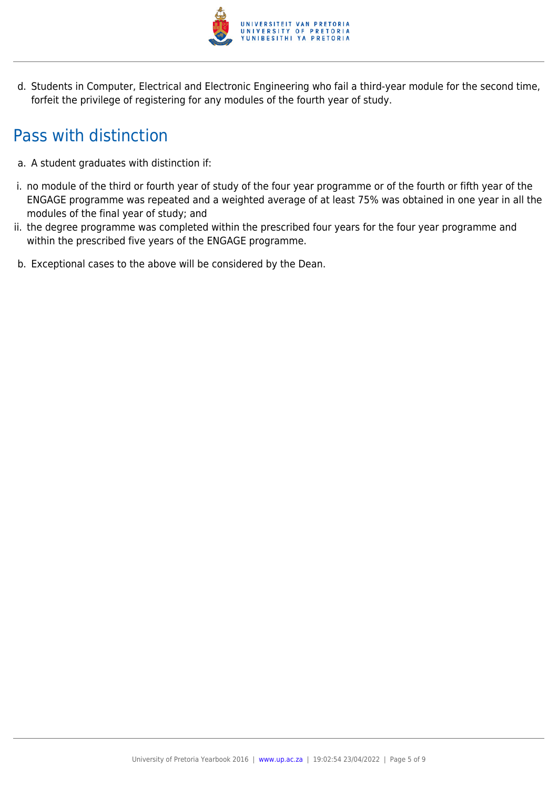

d. Students in Computer, Electrical and Electronic Engineering who fail a third-year module for the second time, forfeit the privilege of registering for any modules of the fourth year of study.

# Pass with distinction

- a. A student graduates with distinction if:
- i. no module of the third or fourth year of study of the four year programme or of the fourth or fifth year of the ENGAGE programme was repeated and a weighted average of at least 75% was obtained in one year in all the modules of the final year of study; and
- ii. the degree programme was completed within the prescribed four years for the four year programme and within the prescribed five years of the ENGAGE programme.
- b. Exceptional cases to the above will be considered by the Dean.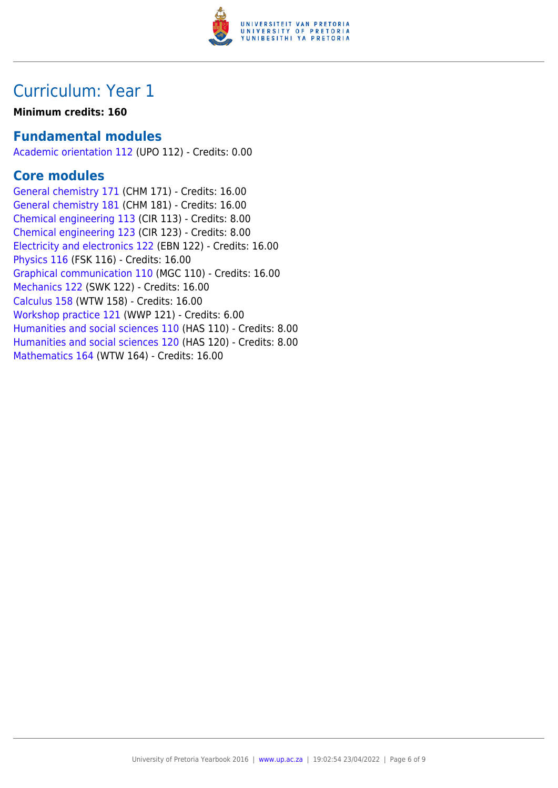

## Curriculum: Year 1

#### **Minimum credits: 160**

### **Fundamental modules**

[Academic orientation 112](https://www.up.ac.za/yearbooks/2016/modules/view/UPO 112) (UPO 112) - Credits: 0.00

### **Core modules**

[General chemistry 171](https://www.up.ac.za/yearbooks/2016/modules/view/CHM 171) (CHM 171) - Credits: 16.00 [General chemistry 181](https://www.up.ac.za/yearbooks/2016/modules/view/CHM 181) (CHM 181) - Credits: 16.00 [Chemical engineering 113](https://www.up.ac.za/yearbooks/2016/modules/view/CIR 113) (CIR 113) - Credits: 8.00 [Chemical engineering 123](https://www.up.ac.za/yearbooks/2016/modules/view/CIR 123) (CIR 123) - Credits: 8.00 [Electricity and electronics 122](https://www.up.ac.za/yearbooks/2016/modules/view/EBN 122) (EBN 122) - Credits: 16.00 [Physics 116](https://www.up.ac.za/yearbooks/2016/modules/view/FSK 116) (FSK 116) - Credits: 16.00 [Graphical communication 110](https://www.up.ac.za/yearbooks/2016/modules/view/MGC 110) (MGC 110) - Credits: 16.00 [Mechanics 122](https://www.up.ac.za/yearbooks/2016/modules/view/SWK 122) (SWK 122) - Credits: 16.00 [Calculus 158](https://www.up.ac.za/yearbooks/2016/modules/view/WTW 158) (WTW 158) - Credits: 16.00 [Workshop practice 121](https://www.up.ac.za/yearbooks/2016/modules/view/WWP 121) (WWP 121) - Credits: 6.00 [Humanities and social sciences 110](https://www.up.ac.za/yearbooks/2016/modules/view/HAS 110) (HAS 110) - Credits: 8.00 [Humanities and social sciences 120](https://www.up.ac.za/yearbooks/2016/modules/view/HAS 120) (HAS 120) - Credits: 8.00 [Mathematics 164](https://www.up.ac.za/yearbooks/2016/modules/view/WTW 164) (WTW 164) - Credits: 16.00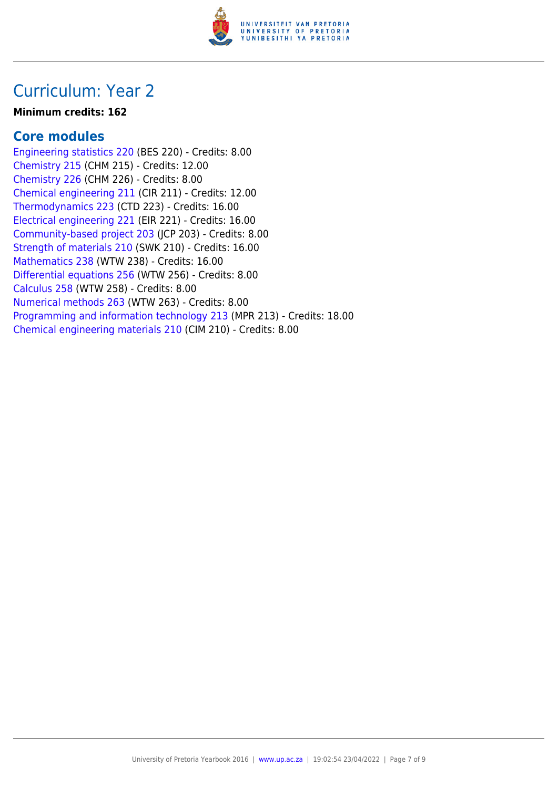

### Curriculum: Year 2

#### **Minimum credits: 162**

### **Core modules**

[Engineering statistics 220](https://www.up.ac.za/yearbooks/2016/modules/view/BES 220) (BES 220) - Credits: 8.00 [Chemistry 215](https://www.up.ac.za/yearbooks/2016/modules/view/CHM 215) (CHM 215) - Credits: 12.00 [Chemistry 226](https://www.up.ac.za/yearbooks/2016/modules/view/CHM 226) (CHM 226) - Credits: 8.00 [Chemical engineering 211](https://www.up.ac.za/yearbooks/2016/modules/view/CIR 211) (CIR 211) - Credits: 12.00 [Thermodynamics 223](https://www.up.ac.za/yearbooks/2016/modules/view/CTD 223) (CTD 223) - Credits: 16.00 [Electrical engineering 221](https://www.up.ac.za/yearbooks/2016/modules/view/EIR 221) (EIR 221) - Credits: 16.00 [Community-based project 203](https://www.up.ac.za/yearbooks/2016/modules/view/JCP 203) (JCP 203) - Credits: 8.00 [Strength of materials 210](https://www.up.ac.za/yearbooks/2016/modules/view/SWK 210) (SWK 210) - Credits: 16.00 [Mathematics 238](https://www.up.ac.za/yearbooks/2016/modules/view/WTW 238) (WTW 238) - Credits: 16.00 [Differential equations 256](https://www.up.ac.za/yearbooks/2016/modules/view/WTW 256) (WTW 256) - Credits: 8.00 [Calculus 258](https://www.up.ac.za/yearbooks/2016/modules/view/WTW 258) (WTW 258) - Credits: 8.00 [Numerical methods 263](https://www.up.ac.za/yearbooks/2016/modules/view/WTW 263) (WTW 263) - Credits: 8.00 [Programming and information technology 213](https://www.up.ac.za/yearbooks/2016/modules/view/MPR 213) (MPR 213) - Credits: 18.00 [Chemical engineering materials 210](https://www.up.ac.za/yearbooks/2016/modules/view/CIM 210) (CIM 210) - Credits: 8.00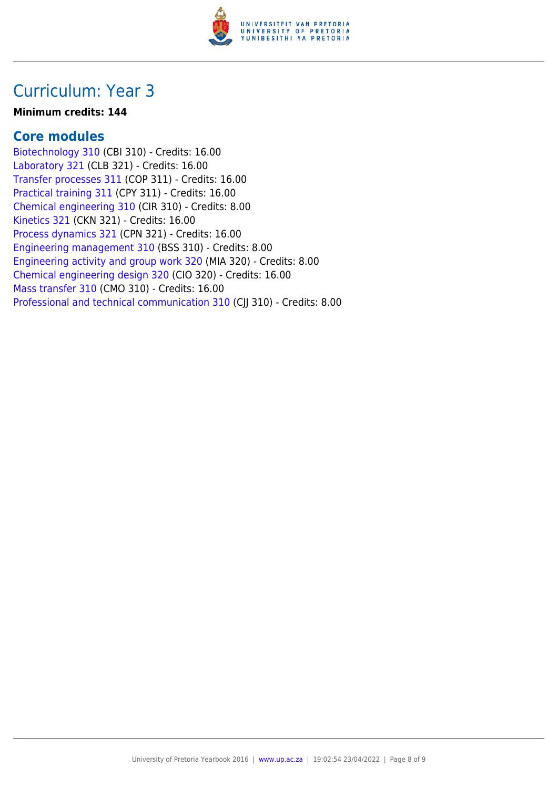

### Curriculum: Year 3

#### **Minimum credits: 144**

### **Core modules**

[Biotechnology 310](https://www.up.ac.za/yearbooks/2016/modules/view/CBI 310) (CBI 310) - Credits: 16.00 [Laboratory 321](https://www.up.ac.za/yearbooks/2016/modules/view/CLB 321) (CLB 321) - Credits: 16.00 [Transfer processes 311](https://www.up.ac.za/yearbooks/2016/modules/view/COP 311) (COP 311) - Credits: 16.00 [Practical training 311](https://www.up.ac.za/yearbooks/2016/modules/view/CPY 311) (CPY 311) - Credits: 16.00 [Chemical engineering 310](https://www.up.ac.za/yearbooks/2016/modules/view/CIR 310) (CIR 310) - Credits: 8.00 [Kinetics 321](https://www.up.ac.za/yearbooks/2016/modules/view/CKN 321) (CKN 321) - Credits: 16.00 [Process dynamics 321](https://www.up.ac.za/yearbooks/2016/modules/view/CPN 321) (CPN 321) - Credits: 16.00 [Engineering management 310](https://www.up.ac.za/yearbooks/2016/modules/view/BSS 310) (BSS 310) - Credits: 8.00 [Engineering activity and group work 320](https://www.up.ac.za/yearbooks/2016/modules/view/MIA 320) (MIA 320) - Credits: 8.00 [Chemical engineering design 320](https://www.up.ac.za/yearbooks/2016/modules/view/CIO 320) (CIO 320) - Credits: 16.00 [Mass transfer 310](https://www.up.ac.za/yearbooks/2016/modules/view/CMO 310) (CMO 310) - Credits: 16.00 [Professional and technical communication 310](https://www.up.ac.za/yearbooks/2016/modules/view/CJJ 310) (CII 310) - Credits: 8.00